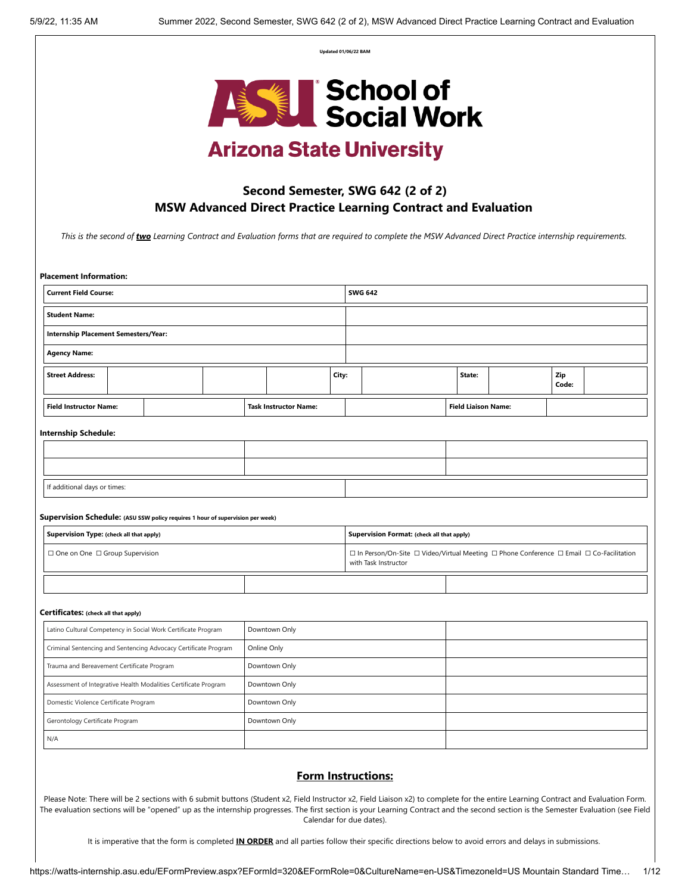**Updated 01/06/22 BAM**



# **Arizona State University**

# **Second Semester, SWG 642 (2 of 2) MSW Advanced Direct Practice Learning Contract and Evaluation**

*This is the second of two Learning Contract and Evaluation forms that are required to complete the MSW Advanced Direct Practice internship requirements.* 

| <b>Current Field Course:</b>                                                   |  |  |             |                              |       | <b>SWG 642</b> |                                                                                                                                           |  |                            |  |              |  |
|--------------------------------------------------------------------------------|--|--|-------------|------------------------------|-------|----------------|-------------------------------------------------------------------------------------------------------------------------------------------|--|----------------------------|--|--------------|--|
| <b>Student Name:</b>                                                           |  |  |             |                              |       |                |                                                                                                                                           |  |                            |  |              |  |
| Internship Placement Semesters/Year:                                           |  |  |             |                              |       |                |                                                                                                                                           |  |                            |  |              |  |
| <b>Agency Name:</b>                                                            |  |  |             |                              |       |                |                                                                                                                                           |  |                            |  |              |  |
| <b>Street Address:</b>                                                         |  |  |             |                              | City: |                |                                                                                                                                           |  | State:                     |  | Zip<br>Code: |  |
| <b>Field Instructor Name:</b>                                                  |  |  |             | <b>Task Instructor Name:</b> |       |                |                                                                                                                                           |  | <b>Field Liaison Name:</b> |  |              |  |
| <b>Internship Schedule:</b>                                                    |  |  |             |                              |       |                |                                                                                                                                           |  |                            |  |              |  |
|                                                                                |  |  |             |                              |       |                |                                                                                                                                           |  |                            |  |              |  |
|                                                                                |  |  |             |                              |       |                |                                                                                                                                           |  |                            |  |              |  |
| If additional days or times:                                                   |  |  |             |                              |       |                |                                                                                                                                           |  |                            |  |              |  |
|                                                                                |  |  |             |                              |       |                |                                                                                                                                           |  |                            |  |              |  |
| Supervision Schedule: (ASU SSW policy requires 1 hour of supervision per week) |  |  |             |                              |       |                |                                                                                                                                           |  |                            |  |              |  |
|                                                                                |  |  |             |                              |       |                |                                                                                                                                           |  |                            |  |              |  |
| Supervision Type: (check all that apply)                                       |  |  |             |                              |       |                | Supervision Format: (check all that apply)                                                                                                |  |                            |  |              |  |
| □ One on One □ Group Supervision                                               |  |  |             |                              |       |                | $\Box$ In Person/On-Site $\Box$ Video/Virtual Meeting $\Box$ Phone Conference $\Box$ Email $\Box$ Co-Facilitation<br>with Task Instructor |  |                            |  |              |  |
|                                                                                |  |  |             |                              |       |                |                                                                                                                                           |  |                            |  |              |  |
| Certificates: (check all that apply)                                           |  |  |             |                              |       |                |                                                                                                                                           |  |                            |  |              |  |
| Latino Cultural Competency in Social Work Certificate Program                  |  |  |             | Downtown Only                |       |                |                                                                                                                                           |  |                            |  |              |  |
| Criminal Sentencing and Sentencing Advocacy Certificate Program                |  |  | Online Only |                              |       |                |                                                                                                                                           |  |                            |  |              |  |
| Trauma and Bereavement Certificate Program                                     |  |  |             | Downtown Only                |       |                |                                                                                                                                           |  |                            |  |              |  |
| Assessment of Integrative Health Modalities Certificate Program                |  |  |             | Downtown Only                |       |                |                                                                                                                                           |  |                            |  |              |  |
| Domestic Violence Certificate Program                                          |  |  |             | Downtown Only                |       |                |                                                                                                                                           |  |                            |  |              |  |
| Gerontology Certificate Program                                                |  |  |             | Downtown Only                |       |                |                                                                                                                                           |  |                            |  |              |  |

Please Note: There will be 2 sections with 6 submit buttons (Student x2, Field Instructor x2, Field Liaison x2) to complete for the entire Learning Contract and Evaluation Form. The evaluation sections will be "opened" up as the internship progresses. The first section is your Learning Contract and the second section is the Semester Evaluation (see Field Calendar for due dates).

It is imperative that the form is completed **IN ORDER** and all parties follow their specific directions below to avoid errors and delays in submissions.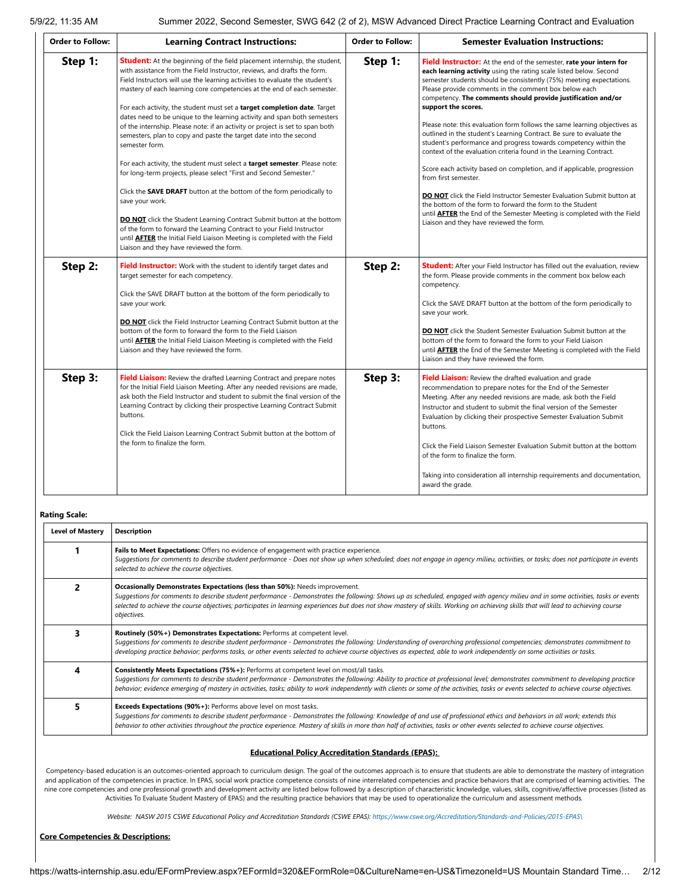| <b>Order to Follow:</b> | <b>Learning Contract Instructions:</b>                                                                                                                                                                                                                                                                                                                                                                                                                                                                                                                                                                                                                                                                                                                                                                                                                                                                                                                                                                                                                                                                                                                                                                   | <b>Order to Follow:</b> | <b>Semester Evaluation Instructions:</b>                                                                                                                                                                                                                                                                                                                                                                                                                                                                                                                                                                                                                                                                                                                                                                                                                                                                                                                                                                                                       |
|-------------------------|----------------------------------------------------------------------------------------------------------------------------------------------------------------------------------------------------------------------------------------------------------------------------------------------------------------------------------------------------------------------------------------------------------------------------------------------------------------------------------------------------------------------------------------------------------------------------------------------------------------------------------------------------------------------------------------------------------------------------------------------------------------------------------------------------------------------------------------------------------------------------------------------------------------------------------------------------------------------------------------------------------------------------------------------------------------------------------------------------------------------------------------------------------------------------------------------------------|-------------------------|------------------------------------------------------------------------------------------------------------------------------------------------------------------------------------------------------------------------------------------------------------------------------------------------------------------------------------------------------------------------------------------------------------------------------------------------------------------------------------------------------------------------------------------------------------------------------------------------------------------------------------------------------------------------------------------------------------------------------------------------------------------------------------------------------------------------------------------------------------------------------------------------------------------------------------------------------------------------------------------------------------------------------------------------|
| Step 1:                 | <b>Student:</b> At the beginning of the field placement internship, the student,<br>with assistance from the Field Instructor, reviews, and drafts the form.<br>Field Instructors will use the learning activities to evaluate the student's<br>mastery of each learning core competencies at the end of each semester.<br>For each activity, the student must set a target completion date. Target<br>dates need to be unique to the learning activity and span both semesters<br>of the internship. Please note: if an activity or project is set to span both<br>semesters, plan to copy and paste the target date into the second<br>semester form.<br>For each activity, the student must select a target semester. Please note:<br>for long-term projects, please select "First and Second Semester."<br>Click the <b>SAVE DRAFT</b> button at the bottom of the form periodically to<br>save your work.<br><b>DO NOT</b> click the Student Learning Contract Submit button at the bottom<br>of the form to forward the Learning Contract to your Field Instructor<br>until <b>AFTER</b> the Initial Field Liaison Meeting is completed with the Field<br>Liaison and they have reviewed the form. | Step 1:                 | Field Instructor: At the end of the semester, rate your intern for<br>each learning activity using the rating scale listed below. Second<br>semester students should be consistently (75%) meeting expectations.<br>Please provide comments in the comment box below each<br>competency. The comments should provide justification and/or<br>support the scores.<br>Please note: this evaluation form follows the same learning objectives as<br>outlined in the student's Learning Contract. Be sure to evaluate the<br>student's performance and progress towards competency within the<br>context of the evaluation criteria found in the Learning Contract.<br>Score each activity based on completion, and if applicable, progression<br>from first semester.<br><b>DO NOT</b> click the Field Instructor Semester Evaluation Submit button at<br>the bottom of the form to forward the form to the Student<br>until <b>AFTER</b> the End of the Semester Meeting is completed with the Field<br>Liaison and they have reviewed the form. |
| Step 2:                 | <b>Field Instructor:</b> Work with the student to identify target dates and<br>target semester for each competency.<br>Click the SAVE DRAFT button at the bottom of the form periodically to<br>save your work.<br><b>DO NOT</b> click the Field Instructor Learning Contract Submit button at the<br>bottom of the form to forward the form to the Field Liaison<br>until <b>AFTER</b> the Initial Field Liaison Meeting is completed with the Field<br>Liaison and they have reviewed the form.                                                                                                                                                                                                                                                                                                                                                                                                                                                                                                                                                                                                                                                                                                        | Step 2:                 | <b>Student:</b> After your Field Instructor has filled out the evaluation, review<br>the form. Please provide comments in the comment box below each<br>competency.<br>Click the SAVE DRAFT button at the bottom of the form periodically to<br>save your work.<br><b>DO NOT</b> click the Student Semester Evaluation Submit button at the<br>bottom of the form to forward the form to your Field Liaison<br>until <b>AFTER</b> the End of the Semester Meeting is completed with the Field<br>Liaison and they have reviewed the form.                                                                                                                                                                                                                                                                                                                                                                                                                                                                                                      |
| Step 3:                 | Field Liaison: Review the drafted Learning Contract and prepare notes<br>for the Initial Field Liaison Meeting. After any needed revisions are made,<br>ask both the Field Instructor and student to submit the final version of the<br>Learning Contract by clicking their prospective Learning Contract Submit<br>buttons.<br>Click the Field Liaison Learning Contract Submit button at the bottom of<br>the form to finalize the form.                                                                                                                                                                                                                                                                                                                                                                                                                                                                                                                                                                                                                                                                                                                                                               | Step 3:                 | Field Liaison: Review the drafted evaluation and grade<br>recommendation to prepare notes for the End of the Semester<br>Meeting. After any needed revisions are made, ask both the Field<br>Instructor and student to submit the final version of the Semester<br>Evaluation by clicking their prospective Semester Evaluation Submit<br>buttons.<br>Click the Field Liaison Semester Evaluation Submit button at the bottom<br>of the form to finalize the form.<br>Taking into consideration all internship requirements and documentation,<br>award the grade.                                                                                                                                                                                                                                                                                                                                                                                                                                                                             |

**Rating Scale:**

| <b>Level of Mastery</b> | <b>Description</b>                                                                                                                                                                                                                                                                                                                                                                                                                                                      |  |  |  |  |  |  |
|-------------------------|-------------------------------------------------------------------------------------------------------------------------------------------------------------------------------------------------------------------------------------------------------------------------------------------------------------------------------------------------------------------------------------------------------------------------------------------------------------------------|--|--|--|--|--|--|
|                         | Fails to Meet Expectations: Offers no evidence of engagement with practice experience.<br>Suggestions for comments to describe student performance - Does not show up when scheduled; does not engage in agency milieu, activities, or tasks; does not participate in events<br>selected to achieve the course objectives.                                                                                                                                              |  |  |  |  |  |  |
| 2                       | Occasionally Demonstrates Expectations (less than 50%): Needs improvement.<br>Suggestions for comments to describe student performance - Demonstrates the following: Shows up as scheduled, engaged with agency milieu and in some activities, tasks or events<br>selected to achieve the course objectives; participates in learning experiences but does not show mastery of skills. Working on achieving skills that will lead to achieving course<br>objectives.    |  |  |  |  |  |  |
| 3                       | Routinely (50%+) Demonstrates Expectations: Performs at competent level.<br>Suggestions for comments to describe student performance - Demonstrates the following: Understanding of overarching professional competencies; demonstrates commitment to<br>developing practice behavior; performs tasks, or other events selected to achieve course objectives as expected, able to work independently on some activities or tasks.                                       |  |  |  |  |  |  |
| 4                       | Consistently Meets Expectations (75%+): Performs at competent level on most/all tasks.<br>Suggestions for comments to describe student performance - Demonstrates the following: Ability to practice at professional level; demonstrates commitment to developing practice<br>behavior; evidence emerging of mastery in activities, tasks; ability to work independently with clients or some of the activities, tasks or events selected to achieve course objectives. |  |  |  |  |  |  |
| 5                       | <b>Exceeds Expectations (90%+):</b> Performs above level on most tasks.<br>Suggestions for comments to describe student performance - Demonstrates the following: Knowledge of and use of professional ethics and behaviors in all work; extends this<br>behavior to other activities throughout the practice experience. Mastery of skills in more than half of activities, tasks or other events selected to achieve course objectives.                               |  |  |  |  |  |  |

#### **Educational Policy Accreditation Standards (EPAS):**

Competency-based education is an outcomes-oriented approach to curriculum design. The goal of the outcomes approach is to ensure that students are able to demonstrate the mastery of integration and application of the competencies in practice. In EPAS, social work practice competence consists of nine interrelated competencies and practice behaviors that are comprised of learning activities. The nine core competencies and one professional growth and development activity are listed below followed by a description of characteristic knowledge, values, skills, cognitive/affective processes (listed as Activities To Evaluate Student Mastery of EPAS) and the resulting practice behaviors that may be used to operationalize the curriculum and assessment methods*.*

*Website: NASW 2015 CSWE Educational Policy and Accreditation Standards (CSWE EPAS): [https://www.cswe.org/Accreditation/Standards-and-Policies/2015-EPAS\](https://www.cswe.org/Accreditation/Standards-and-Policies/2015-EPAS/)*

#### **Core Competencies & Descriptions:**

https://watts-internship.asu.edu/EFormPreview.aspx?EFormId=320&EFormRole=0&CultureName=en-US&TimezoneId=US Mountain Standard Time… 2/12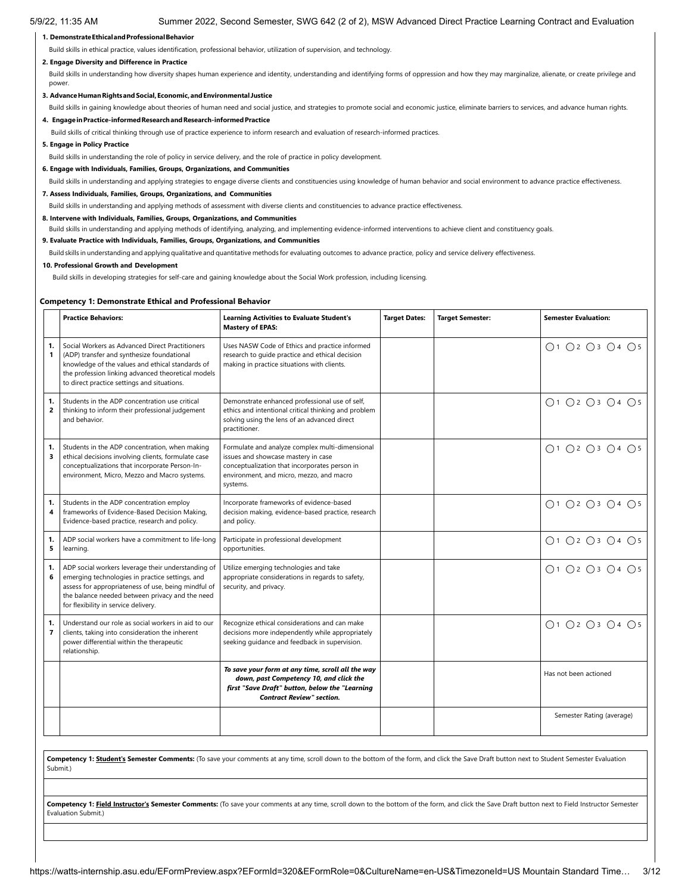## **1. DemonstrateEthicalandProfessionalBehavior**

Build skills in ethical practice, values identification, professional behavior, utilization of supervision, and technology.

#### **2. Engage Diversity and Difference in Practice**

Build skills in understanding how diversity shapes human experience and identity, understanding and identifying forms of oppression and how they may marginalize, alienate, or create privilege and power

#### **3. AdvanceHumanRightsandSocial,Economic,andEnvironmental Justice**

Build skills in gaining knowledge about theories of human need and social justice, and strategies to promote social and economic justice, eliminate barriers to services, and advance human rights.

#### **4. EngageinPractice-informedResearchandResearch-informedPractice**

Build skills of critical thinking through use of practice experience to inform research and evaluation of research-informed practices.

#### **5. Engage in Policy Practice**

Build skills in understanding the role of policy in service delivery, and the role of practice in policy development.

**6. Engage with Individuals, Families, Groups, Organizations, and Communities**

Build skills in understanding and applying strategies to engage diverse clients and constituencies using knowledge of human behavior and social environment to advance practice effectiveness.

#### **7. Assess Individuals, Families, Groups, Organizations, and Communities**

Build skills in understanding and applying methods of assessment with diverse clients and constituencies to advance practice effectiveness.

#### **8. Intervene with Individuals, Families, Groups, Organizations, and Communities**

Build skills in understanding and applying methods of identifying, analyzing, and implementing evidence-informed interventions to achieve client and constituency goals.

#### **9. Evaluate Practice with Individuals, Families, Groups, Organizations, and Communities**

Build skills in understanding and applying qualitative and quantitative methods for evaluating outcomes to advance practice, policy and service delivery effectiveness.

#### **10. Professional Growth and Development**

Build skills in developing strategies for self-care and gaining knowledge about the Social Work profession, including licensing.

#### **Competency 1: Demonstrate Ethical and Professional Behavior**

|         | <b>Practice Behaviors:</b>                                                                                                                                                                                                                              | <b>Learning Activities to Evaluate Student's</b><br><b>Mastery of EPAS:</b>                                                                                                                     | <b>Target Dates:</b> | <b>Target Semester:</b> | <b>Semester Evaluation:</b>                                 |
|---------|---------------------------------------------------------------------------------------------------------------------------------------------------------------------------------------------------------------------------------------------------------|-------------------------------------------------------------------------------------------------------------------------------------------------------------------------------------------------|----------------------|-------------------------|-------------------------------------------------------------|
| 1.<br>1 | Social Workers as Advanced Direct Practitioners<br>(ADP) transfer and synthesize foundational<br>knowledge of the values and ethical standards of<br>the profession linking advanced theoretical models<br>to direct practice settings and situations.  | Uses NASW Code of Ethics and practice informed<br>research to quide practice and ethical decision<br>making in practice situations with clients.                                                |                      |                         | ○1 ○2 ○3 ○4 ○5                                              |
| 1.<br>2 | Students in the ADP concentration use critical<br>thinking to inform their professional judgement<br>and behavior.                                                                                                                                      | Demonstrate enhanced professional use of self,<br>ethics and intentional critical thinking and problem<br>solving using the lens of an advanced direct<br>practitioner.                         |                      |                         | ○1 ○2 ○3 ○4 ○5                                              |
| 1.<br>3 | Students in the ADP concentration, when making<br>ethical decisions involving clients, formulate case<br>conceptualizations that incorporate Person-In-<br>environment, Micro, Mezzo and Macro systems.                                                 | Formulate and analyze complex multi-dimensional<br>issues and showcase mastery in case<br>conceptualization that incorporates person in<br>environment, and micro, mezzo, and macro<br>systems. |                      |                         | ○1 ○2 ○3 ○4 ○5                                              |
| 1.<br>4 | Students in the ADP concentration employ<br>frameworks of Evidence-Based Decision Making,<br>Evidence-based practice, research and policy.                                                                                                              | Incorporate frameworks of evidence-based<br>decision making, evidence-based practice, research<br>and policy.                                                                                   |                      |                         | ○1 ○2 ○3 ○4 ○5                                              |
| 1.<br>5 | ADP social workers have a commitment to life-long<br>learning.                                                                                                                                                                                          | Participate in professional development<br>opportunities.                                                                                                                                       |                      |                         | ○1 ○2 ○3 ○4 ○5                                              |
| 1.<br>6 | ADP social workers leverage their understanding of<br>emerging technologies in practice settings, and<br>assess for appropriateness of use, being mindful of<br>the balance needed between privacy and the need<br>for flexibility in service delivery. | Utilize emerging technologies and take<br>appropriate considerations in regards to safety,<br>security, and privacy.                                                                            |                      |                         | $\bigcap$ 1 $\bigcap$ 2 $\bigcap$ 3 $\bigcap$ 4 $\bigcap$ 5 |
| 1.<br>7 | Understand our role as social workers in aid to our<br>clients, taking into consideration the inherent<br>power differential within the therapeutic<br>relationship.                                                                                    | Recognize ethical considerations and can make<br>decisions more independently while appropriately<br>seeking guidance and feedback in supervision.                                              |                      |                         | ○1 ○2 ○3 ○4 ○5                                              |
|         |                                                                                                                                                                                                                                                         | To save your form at any time, scroll all the way<br>down, past Competency 10, and click the<br>first "Save Draft" button, below the "Learning<br><b>Contract Review" section.</b>              |                      |                         | Has not been actioned                                       |
|         |                                                                                                                                                                                                                                                         |                                                                                                                                                                                                 |                      |                         | Semester Rating (average)                                   |

**Competency 1: Student's Semester Comments:** (To save your comments at any time, scroll down to the bottom of the form, and click the Save Draft button next to Student Semester Evaluation Submit.)

Competency 1: Field Instructor's Semester Comments: (To save your comments at any time, scroll down to the bottom of the form, and click the Save Draft button next to Field Instructor Semester Evaluation Submit.)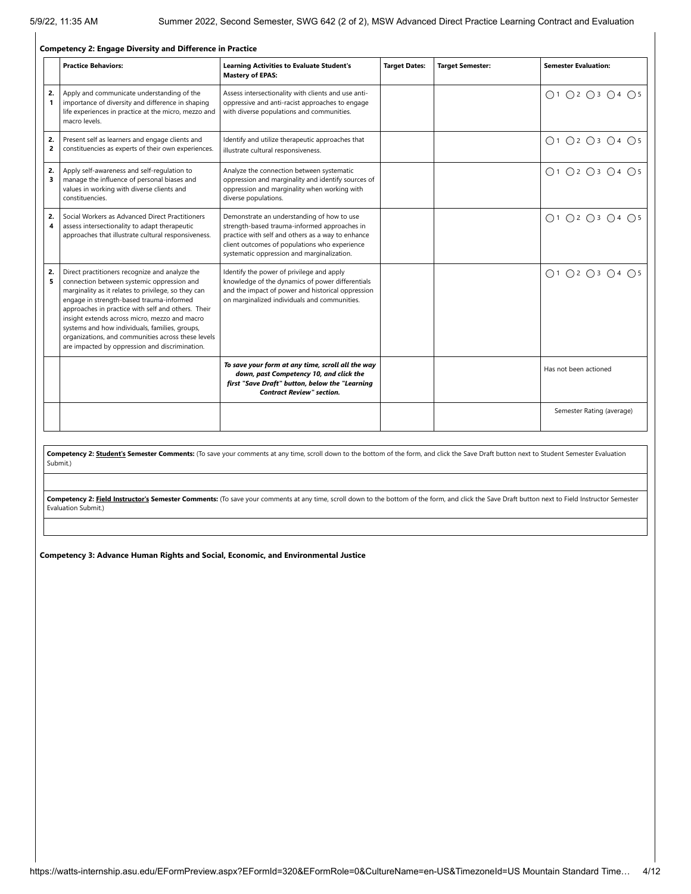|                               | <b>Competency 2: Engage Diversity and Difference in Practice</b>                                                                                                                                                                                                                                                                                                                                                                                                 |                                                                                                                                                                                                                                                |                      |                         |                                                             |  |  |  |
|-------------------------------|------------------------------------------------------------------------------------------------------------------------------------------------------------------------------------------------------------------------------------------------------------------------------------------------------------------------------------------------------------------------------------------------------------------------------------------------------------------|------------------------------------------------------------------------------------------------------------------------------------------------------------------------------------------------------------------------------------------------|----------------------|-------------------------|-------------------------------------------------------------|--|--|--|
|                               | <b>Practice Behaviors:</b>                                                                                                                                                                                                                                                                                                                                                                                                                                       | <b>Learning Activities to Evaluate Student's</b><br><b>Mastery of EPAS:</b>                                                                                                                                                                    | <b>Target Dates:</b> | <b>Target Semester:</b> | <b>Semester Evaluation:</b>                                 |  |  |  |
| 2.<br>$\mathbf{1}$            | Apply and communicate understanding of the<br>importance of diversity and difference in shaping<br>life experiences in practice at the micro, mezzo and<br>macro levels.                                                                                                                                                                                                                                                                                         | Assess intersectionality with clients and use anti-<br>oppressive and anti-racist approaches to engage<br>with diverse populations and communities.                                                                                            |                      |                         | ○1 ○2 ○3 ○4 ○5                                              |  |  |  |
| 2.<br>$\mathbf{z}$            | Present self as learners and engage clients and<br>constituencies as experts of their own experiences.                                                                                                                                                                                                                                                                                                                                                           | Identify and utilize therapeutic approaches that<br>illustrate cultural responsiveness.                                                                                                                                                        |                      |                         | ○1 ○2 ○3 ○4 ○5                                              |  |  |  |
| 2.<br>$\overline{\mathbf{3}}$ | Apply self-awareness and self-regulation to<br>manage the influence of personal biases and<br>values in working with diverse clients and<br>constituencies.                                                                                                                                                                                                                                                                                                      | Analyze the connection between systematic<br>oppression and marginality and identify sources of<br>oppression and marginality when working with<br>diverse populations.                                                                        |                      |                         | $\bigcap$ 1 $\bigcap$ 2 $\bigcap$ 3 $\bigcap$ 4 $\bigcap$ 5 |  |  |  |
| 2.<br>4                       | Social Workers as Advanced Direct Practitioners<br>assess intersectionality to adapt therapeutic<br>approaches that illustrate cultural responsiveness.                                                                                                                                                                                                                                                                                                          | Demonstrate an understanding of how to use<br>strength-based trauma-informed approaches in<br>practice with self and others as a way to enhance<br>client outcomes of populations who experience<br>systematic oppression and marginalization. |                      |                         | ○1 ○2 ○3 ○4 ○5                                              |  |  |  |
| 2.<br>5                       | Direct practitioners recognize and analyze the<br>connection between systemic oppression and<br>marginality as it relates to privilege, so they can<br>engage in strength-based trauma-informed<br>approaches in practice with self and others. Their<br>insight extends across micro, mezzo and macro<br>systems and how individuals, families, groups,<br>organizations, and communities across these levels<br>are impacted by oppression and discrimination. | Identify the power of privilege and apply<br>knowledge of the dynamics of power differentials<br>and the impact of power and historical oppression<br>on marginalized individuals and communities.                                             |                      |                         | ○1 ○2 ○3 ○4 ○5                                              |  |  |  |
|                               |                                                                                                                                                                                                                                                                                                                                                                                                                                                                  | To save your form at any time, scroll all the way<br>down, past Competency 10, and click the<br>first "Save Draft" button, below the "Learning<br><b>Contract Review" section.</b>                                                             |                      |                         | Has not been actioned                                       |  |  |  |
|                               |                                                                                                                                                                                                                                                                                                                                                                                                                                                                  |                                                                                                                                                                                                                                                |                      |                         | Semester Rating (average)                                   |  |  |  |

Competency 2: **Student's Semester Comments:** (To save your comments at any time, scroll down to the bottom of the form, and click the Save Draft button next to Student Semester Evaluation Submit.)

Competency 2: Field Instructor's Semester Comments: (To save your comments at any time, scroll down to the bottom of the form, and click the Save Draft button next to Field Instructor Semester Evaluation Submit.)

**Competency 3: Advance Human Rights and Social, Economic, and Environmental Justice**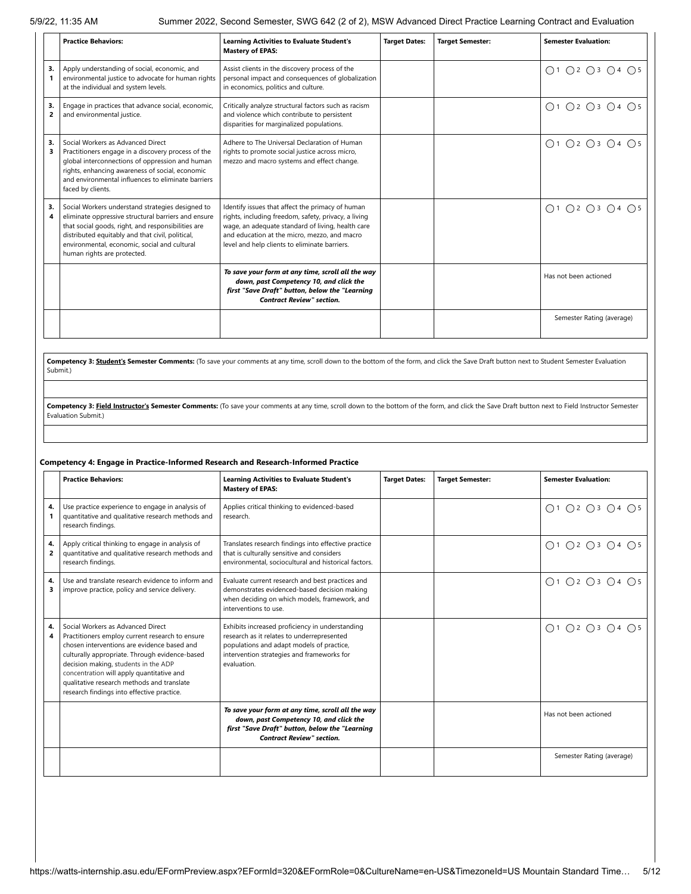|         | <b>Practice Behaviors:</b>                                                                                                                                                                                                                                                                       | <b>Learning Activities to Evaluate Student's</b><br><b>Mastery of EPAS:</b>                                                                                                                                                                                    | <b>Target Dates:</b> | <b>Target Semester:</b> | <b>Semester Evaluation:</b> |
|---------|--------------------------------------------------------------------------------------------------------------------------------------------------------------------------------------------------------------------------------------------------------------------------------------------------|----------------------------------------------------------------------------------------------------------------------------------------------------------------------------------------------------------------------------------------------------------------|----------------------|-------------------------|-----------------------------|
| 3.      | Apply understanding of social, economic, and<br>environmental justice to advocate for human rights<br>at the individual and system levels.                                                                                                                                                       | Assist clients in the discovery process of the<br>personal impact and consequences of globalization<br>in economics, politics and culture.                                                                                                                     |                      |                         | ○1 ○2 ○3 ○4 ○5              |
| 3.<br>2 | Engage in practices that advance social, economic,<br>and environmental justice.                                                                                                                                                                                                                 | Critically analyze structural factors such as racism<br>and violence which contribute to persistent<br>disparities for marginalized populations.                                                                                                               |                      |                         | ○1 ○2 ○3 ○4 ○5              |
| 3.<br>3 | Social Workers as Advanced Direct<br>Practitioners engage in a discovery process of the<br>global interconnections of oppression and human<br>rights, enhancing awareness of social, economic<br>and environmental influences to eliminate barriers<br>faced by clients.                         | Adhere to The Universal Declaration of Human<br>rights to promote social justice across micro,<br>mezzo and macro systems and effect change.                                                                                                                   |                      |                         | ○1 ○2 ○3 ○4 ○5              |
| 3.<br>4 | Social Workers understand strategies designed to<br>eliminate oppressive structural barriers and ensure<br>that social goods, right, and responsibilities are<br>distributed equitably and that civil, political,<br>environmental, economic, social and cultural<br>human rights are protected. | Identify issues that affect the primacy of human<br>rights, including freedom, safety, privacy, a living<br>wage, an adequate standard of living, health care<br>and education at the micro, mezzo, and macro<br>level and help clients to eliminate barriers. |                      |                         | ○1 ○2 ○3 ○4 ○5              |
|         |                                                                                                                                                                                                                                                                                                  | To save your form at any time, scroll all the way<br>down, past Competency 10, and click the<br>first "Save Draft" button, below the "Learning<br><b>Contract Review" section.</b>                                                                             |                      |                         | Has not been actioned       |
|         |                                                                                                                                                                                                                                                                                                  |                                                                                                                                                                                                                                                                |                      |                         | Semester Rating (average)   |

Competency 3: **Student's Semester Comments:** (To save your comments at any time, scroll down to the bottom of the form, and click the Save Draft button next to Student Semester Evaluation Submit.)

Competency 3: Field Instructor's Semester Comments: (To save your comments at any time, scroll down to the bottom of the form, and click the Save Draft button next to Field Instructor Semester Evaluation Submit.)

### **Competency 4: Engage in Practice-Informed Research and Research-Informed Practice**

|         | <b>Practice Behaviors:</b>                                                                                                                                                                                                                                                                                                                                             | <b>Learning Activities to Evaluate Student's</b><br><b>Mastery of EPAS:</b>                                                                                                                             | <b>Target Dates:</b> | <b>Target Semester:</b> | <b>Semester Evaluation:</b> |
|---------|------------------------------------------------------------------------------------------------------------------------------------------------------------------------------------------------------------------------------------------------------------------------------------------------------------------------------------------------------------------------|---------------------------------------------------------------------------------------------------------------------------------------------------------------------------------------------------------|----------------------|-------------------------|-----------------------------|
| 4.      | Use practice experience to engage in analysis of<br>quantitative and qualitative research methods and<br>research findings.                                                                                                                                                                                                                                            | Applies critical thinking to evidenced-based<br>research.                                                                                                                                               |                      |                         | ○1 ○2 ○3 ○4 ○5              |
| 4.<br>2 | Apply critical thinking to engage in analysis of<br>quantitative and qualitative research methods and<br>research findings.                                                                                                                                                                                                                                            | Translates research findings into effective practice<br>that is culturally sensitive and considers<br>environmental, sociocultural and historical factors.                                              |                      |                         | ○1 ○2 ○3 ○4 ○5              |
| 4.<br>3 | Use and translate research evidence to inform and<br>improve practice, policy and service delivery.                                                                                                                                                                                                                                                                    | Evaluate current research and best practices and<br>demonstrates evidenced-based decision making<br>when deciding on which models, framework, and<br>interventions to use.                              |                      |                         | ○1 ○2 ○3 ○4 ○5              |
| 4.<br>4 | Social Workers as Advanced Direct<br>Practitioners employ current research to ensure<br>chosen interventions are evidence based and<br>culturally appropriate. Through evidence-based<br>decision making, students in the ADP<br>concentration will apply quantitative and<br>qualitative research methods and translate<br>research findings into effective practice. | Exhibits increased proficiency in understanding<br>research as it relates to underrepresented<br>populations and adapt models of practice,<br>intervention strategies and frameworks for<br>evaluation. |                      |                         | ○1 ○2 ○3 ○4 ○5              |
|         |                                                                                                                                                                                                                                                                                                                                                                        | To save your form at any time, scroll all the way<br>down, past Competency 10, and click the<br>first "Save Draft" button, below the "Learning<br><b>Contract Review" section.</b>                      |                      |                         | Has not been actioned       |
|         |                                                                                                                                                                                                                                                                                                                                                                        |                                                                                                                                                                                                         |                      |                         | Semester Rating (average)   |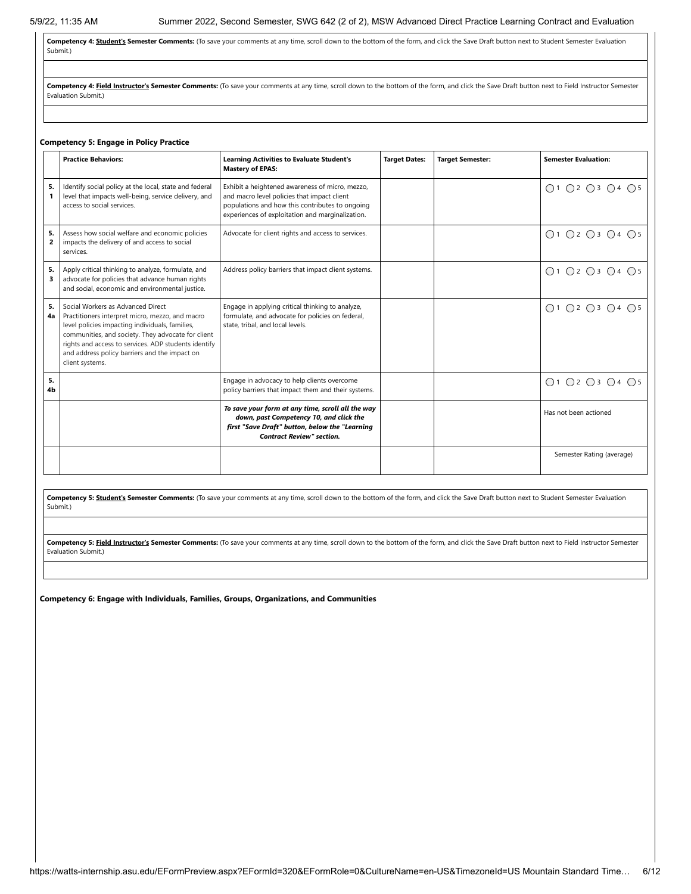**Competency 4: Student's Semester Comments:** (To save your comments at any time, scroll down to the bottom of the form, and click the Save Draft button next to Student Semester Evaluation Submit.)

Competency 4: Field Instructor's Semester Comments: (To save your comments at any time, scroll down to the bottom of the form, and click the Save Draft button next to Field Instructor Semester Evaluation Submit.)

#### **Competency 5: Engage in Policy Practice**

|                      | <b>Practice Behaviors:</b>                                                                                                                                                                                                                                                                                                | <b>Learning Activities to Evaluate Student's</b><br><b>Mastery of EPAS:</b>                                                                                                                           | <b>Target Dates:</b> | <b>Target Semester:</b> | <b>Semester Evaluation:</b> |
|----------------------|---------------------------------------------------------------------------------------------------------------------------------------------------------------------------------------------------------------------------------------------------------------------------------------------------------------------------|-------------------------------------------------------------------------------------------------------------------------------------------------------------------------------------------------------|----------------------|-------------------------|-----------------------------|
| 5.                   | Identify social policy at the local, state and federal<br>level that impacts well-being, service delivery, and<br>access to social services.                                                                                                                                                                              | Exhibit a heightened awareness of micro, mezzo,<br>and macro level policies that impact client<br>populations and how this contributes to ongoing<br>experiences of exploitation and marginalization. |                      |                         | ○1 ○2 ○3 ○4 ○5              |
| 5.<br>$\overline{2}$ | Assess how social welfare and economic policies<br>impacts the delivery of and access to social<br>services.                                                                                                                                                                                                              | Advocate for client rights and access to services.                                                                                                                                                    |                      |                         | ○1 ○2 ○3 ○4 ○5              |
| 5.<br>3              | Apply critical thinking to analyze, formulate, and<br>advocate for policies that advance human rights<br>and social, economic and environmental justice.                                                                                                                                                                  | Address policy barriers that impact client systems.                                                                                                                                                   |                      |                         | ○1 ○2 ○3 ○4 ○5              |
| 5.<br>4a             | Social Workers as Advanced Direct<br>Practitioners interpret micro, mezzo, and macro<br>level policies impacting individuals, families,<br>communities, and society. They advocate for client<br>rights and access to services. ADP students identify<br>and address policy barriers and the impact on<br>client systems. | Engage in applying critical thinking to analyze,<br>formulate, and advocate for policies on federal,<br>state, tribal, and local levels.                                                              |                      |                         | ○1 ○2 ○3 ○4 ○5              |
| 5.<br>4b             |                                                                                                                                                                                                                                                                                                                           | Engage in advocacy to help clients overcome<br>policy barriers that impact them and their systems.                                                                                                    |                      |                         | O1 O2 O3 O4 O5              |
|                      |                                                                                                                                                                                                                                                                                                                           | To save your form at any time, scroll all the way<br>down, past Competency 10, and click the<br>first "Save Draft" button, below the "Learning<br><b>Contract Review" section.</b>                    |                      |                         | Has not been actioned       |
|                      |                                                                                                                                                                                                                                                                                                                           |                                                                                                                                                                                                       |                      |                         | Semester Rating (average)   |

Competency 5: **Student's Semester Comments:** (To save your comments at any time, scroll down to the bottom of the form, and click the Save Draft button next to Student Semester Evaluation Submit.)

Competency 5: Field Instructor's Semester Comments: (To save your comments at any time, scroll down to the bottom of the form, and click the Save Draft button next to Field Instructor Semester Evaluation Submit.)

**Competency 6: Engage with Individuals, Families, Groups, Organizations, and Communities**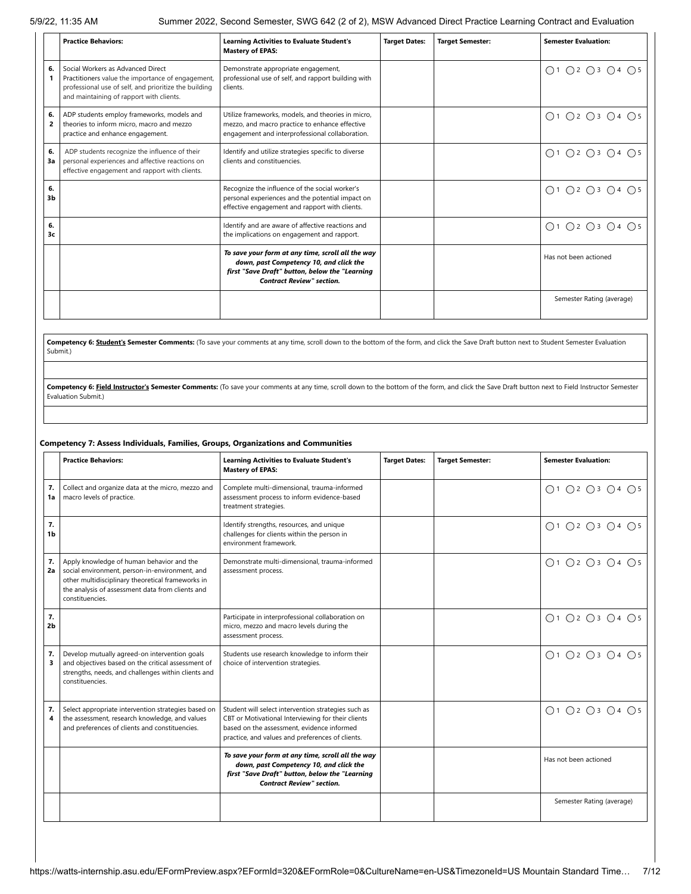|                      | <b>Practice Behaviors:</b>                                                                                                                                                                  | <b>Learning Activities to Evaluate Student's</b><br><b>Mastery of EPAS:</b>                                                                                                        | <b>Target Dates:</b> | <b>Target Semester:</b> | <b>Semester Evaluation:</b> |
|----------------------|---------------------------------------------------------------------------------------------------------------------------------------------------------------------------------------------|------------------------------------------------------------------------------------------------------------------------------------------------------------------------------------|----------------------|-------------------------|-----------------------------|
| 6.                   | Social Workers as Advanced Direct<br>Practitioners value the importance of engagement,<br>professional use of self, and prioritize the building<br>and maintaining of rapport with clients. | Demonstrate appropriate engagement,<br>professional use of self, and rapport building with<br>clients.                                                                             |                      |                         | ○1 ○2 ○3 ○4 ○5              |
| 6.<br>$\overline{2}$ | ADP students employ frameworks, models and<br>theories to inform micro, macro and mezzo<br>practice and enhance engagement.                                                                 | Utilize frameworks, models, and theories in micro,<br>mezzo, and macro practice to enhance effective<br>engagement and interprofessional collaboration.                            |                      |                         | ○1 ○2 ○3 ○4 ○5              |
| 6.<br>3a             | ADP students recognize the influence of their<br>personal experiences and affective reactions on<br>effective engagement and rapport with clients.                                          | Identify and utilize strategies specific to diverse<br>clients and constituencies.                                                                                                 |                      |                         | ○1 ○2 ○3 ○4 ○5              |
| 6.<br>3b             |                                                                                                                                                                                             | Recognize the influence of the social worker's<br>personal experiences and the potential impact on<br>effective engagement and rapport with clients.                               |                      |                         | ○1 ○2 ○3 ○4 ○5              |
| 6.<br>3c             |                                                                                                                                                                                             | Identify and are aware of affective reactions and<br>the implications on engagement and rapport.                                                                                   |                      |                         | ○1 ○2 ○3 ○4 ○5              |
|                      |                                                                                                                                                                                             | To save your form at any time, scroll all the way<br>down, past Competency 10, and click the<br>first "Save Draft" button, below the "Learning<br><b>Contract Review" section.</b> |                      |                         | Has not been actioned       |
|                      |                                                                                                                                                                                             |                                                                                                                                                                                    |                      |                         | Semester Rating (average)   |

**Competency 6: Student's Semester Comments:** (To save your comments at any time, scroll down to the bottom of the form, and click the Save Draft button next to Student Semester Evaluation Submit.)

Competency 6: Field Instructor's Semester Comments: (To save your comments at any time, scroll down to the bottom of the form, and click the Save Draft button next to Field Instructor Semester Evaluation Submit.)

#### **Competency 7: Assess Individuals, Families, Groups, Organizations and Communities**

|                      | <b>Practice Behaviors:</b>                                                                                                                                                                                              | <b>Learning Activities to Evaluate Student's</b><br><b>Mastery of EPAS:</b>                                                                                                                                 | <b>Target Dates:</b> | <b>Target Semester:</b> | <b>Semester Evaluation:</b> |
|----------------------|-------------------------------------------------------------------------------------------------------------------------------------------------------------------------------------------------------------------------|-------------------------------------------------------------------------------------------------------------------------------------------------------------------------------------------------------------|----------------------|-------------------------|-----------------------------|
| 7.<br>1a             | Collect and organize data at the micro, mezzo and<br>macro levels of practice.                                                                                                                                          | Complete multi-dimensional, trauma-informed<br>assessment process to inform evidence-based<br>treatment strategies.                                                                                         |                      |                         | Q1 Q2 Q3 Q4 Q5              |
| 7.<br>1 <sub>b</sub> |                                                                                                                                                                                                                         | Identify strengths, resources, and unique<br>challenges for clients within the person in<br>environment framework.                                                                                          |                      |                         | ○1 ○2 ○3 ○4 ○5              |
| 7.<br>2a             | Apply knowledge of human behavior and the<br>social environment, person-in-environment, and<br>other multidisciplinary theoretical frameworks in<br>the analysis of assessment data from clients and<br>constituencies. | Demonstrate multi-dimensional, trauma-informed<br>assessment process.                                                                                                                                       |                      |                         | ○1 ○2 ○3 ○4 ○5              |
| 7.<br>2 <sub>b</sub> |                                                                                                                                                                                                                         | Participate in interprofessional collaboration on<br>micro, mezzo and macro levels during the<br>assessment process.                                                                                        |                      |                         | ○1 ○2 ○3 ○4 ○5              |
| 7.<br>3              | Develop mutually agreed-on intervention goals<br>and objectives based on the critical assessment of<br>strengths, needs, and challenges within clients and<br>constituencies.                                           | Students use research knowledge to inform their<br>choice of intervention strategies.                                                                                                                       |                      |                         | ○1 ○2 ○3 ○4 ○5              |
| 7.<br>4              | Select appropriate intervention strategies based on<br>the assessment, research knowledge, and values<br>and preferences of clients and constituencies.                                                                 | Student will select intervention strategies such as<br>CBT or Motivational Interviewing for their clients<br>based on the assessment, evidence informed<br>practice, and values and preferences of clients. |                      |                         | O1 O2 O3 O4 O5              |
|                      |                                                                                                                                                                                                                         | To save your form at any time, scroll all the way<br>down, past Competency 10, and click the<br>first "Save Draft" button, below the "Learning<br><b>Contract Review" section.</b>                          |                      |                         | Has not been actioned       |
|                      |                                                                                                                                                                                                                         |                                                                                                                                                                                                             |                      |                         | Semester Rating (average)   |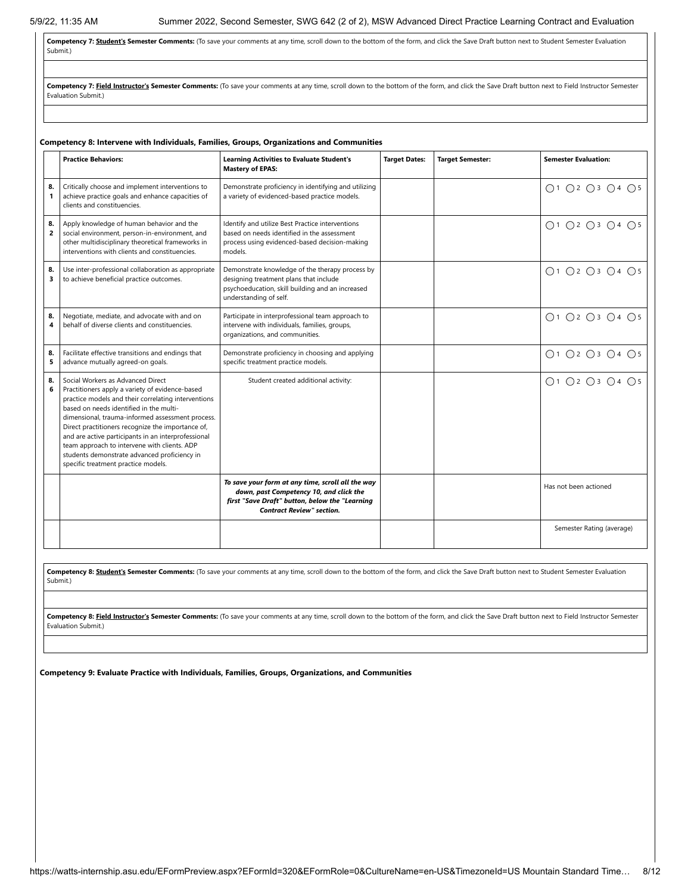Competency 7: **Student's Semester Comments:** (To save your comments at any time, scroll down to the bottom of the form, and click the Save Draft button next to Student Semester Evaluation Submit.)

Competency 7: Field Instructor's Semester Comments: (To save your comments at any time, scroll down to the bottom of the form, and click the Save Draft button next to Field Instructor Semester Evaluation Submit.)

|                      | Competency 8: Intervene with Individuals, Families, Groups, Organizations and Communities                                                                                                                                                                                                                                                                                                                                                                                                     |                                                                                                                                                                                    |                      |                         |                                                             |  |  |
|----------------------|-----------------------------------------------------------------------------------------------------------------------------------------------------------------------------------------------------------------------------------------------------------------------------------------------------------------------------------------------------------------------------------------------------------------------------------------------------------------------------------------------|------------------------------------------------------------------------------------------------------------------------------------------------------------------------------------|----------------------|-------------------------|-------------------------------------------------------------|--|--|
|                      | <b>Practice Behaviors:</b>                                                                                                                                                                                                                                                                                                                                                                                                                                                                    | <b>Learning Activities to Evaluate Student's</b><br><b>Mastery of EPAS:</b>                                                                                                        | <b>Target Dates:</b> | <b>Target Semester:</b> | <b>Semester Evaluation:</b>                                 |  |  |
| 8.<br>$\mathbf{1}$   | Critically choose and implement interventions to<br>achieve practice goals and enhance capacities of<br>clients and constituencies.                                                                                                                                                                                                                                                                                                                                                           | Demonstrate proficiency in identifying and utilizing<br>a variety of evidenced-based practice models.                                                                              |                      |                         | ○1 ○2 ○3 ○4 ○5                                              |  |  |
| 8.<br>$\overline{2}$ | Apply knowledge of human behavior and the<br>social environment, person-in-environment, and<br>other multidisciplinary theoretical frameworks in<br>interventions with clients and constituencies.                                                                                                                                                                                                                                                                                            | Identify and utilize Best Practice interventions<br>based on needs identified in the assessment<br>process using evidenced-based decision-making<br>models.                        |                      |                         | $\bigcap$ 1 $\bigcap$ 2 $\bigcap$ 3 $\bigcap$ 4 $\bigcap$ 5 |  |  |
| 8.<br>3              | Use inter-professional collaboration as appropriate<br>to achieve beneficial practice outcomes.                                                                                                                                                                                                                                                                                                                                                                                               | Demonstrate knowledge of the therapy process by<br>designing treatment plans that include<br>psychoeducation, skill building and an increased<br>understanding of self.            |                      |                         | $\bigcap$ 1 $\bigcap$ 2 $\bigcap$ 3 $\bigcap$ 4 $\bigcap$ 5 |  |  |
| 8.<br>4              | Negotiate, mediate, and advocate with and on<br>behalf of diverse clients and constituencies.                                                                                                                                                                                                                                                                                                                                                                                                 | Participate in interprofessional team approach to<br>intervene with individuals, families, groups,<br>organizations, and communities.                                              |                      |                         | ○1 ○2 ○3 ○4 ○5                                              |  |  |
| 8.<br>5              | Facilitate effective transitions and endings that<br>advance mutually agreed-on goals.                                                                                                                                                                                                                                                                                                                                                                                                        | Demonstrate proficiency in choosing and applying<br>specific treatment practice models.                                                                                            |                      |                         | ○1 ○2 ○3 ○4 ○5                                              |  |  |
| 8.<br>6              | Social Workers as Advanced Direct<br>Practitioners apply a variety of evidence-based<br>practice models and their correlating interventions<br>based on needs identified in the multi-<br>dimensional, trauma-informed assessment process.<br>Direct practitioners recognize the importance of,<br>and are active participants in an interprofessional<br>team approach to intervene with clients. ADP<br>students demonstrate advanced proficiency in<br>specific treatment practice models. | Student created additional activity:                                                                                                                                               |                      |                         | ○1 ○2 ○3 ○4 ○5                                              |  |  |
|                      |                                                                                                                                                                                                                                                                                                                                                                                                                                                                                               | To save your form at any time, scroll all the way<br>down, past Competency 10, and click the<br>first "Save Draft" button, below the "Learning<br><b>Contract Review" section.</b> |                      |                         | Has not been actioned                                       |  |  |
|                      |                                                                                                                                                                                                                                                                                                                                                                                                                                                                                               |                                                                                                                                                                                    |                      |                         | Semester Rating (average)                                   |  |  |

**Competency 8: Student's Semester Comments:** (To save your comments at any time, scroll down to the bottom of the form, and click the Save Draft button next to Student Semester Evaluation Submit.)

Competency 8: Field Instructor's Semester Comments: (To save your comments at any time, scroll down to the bottom of the form, and click the Save Draft button next to Field Instructor Semester Evaluation Submit.)

**Competency 9: Evaluate Practice with Individuals, Families, Groups, Organizations, and Communities**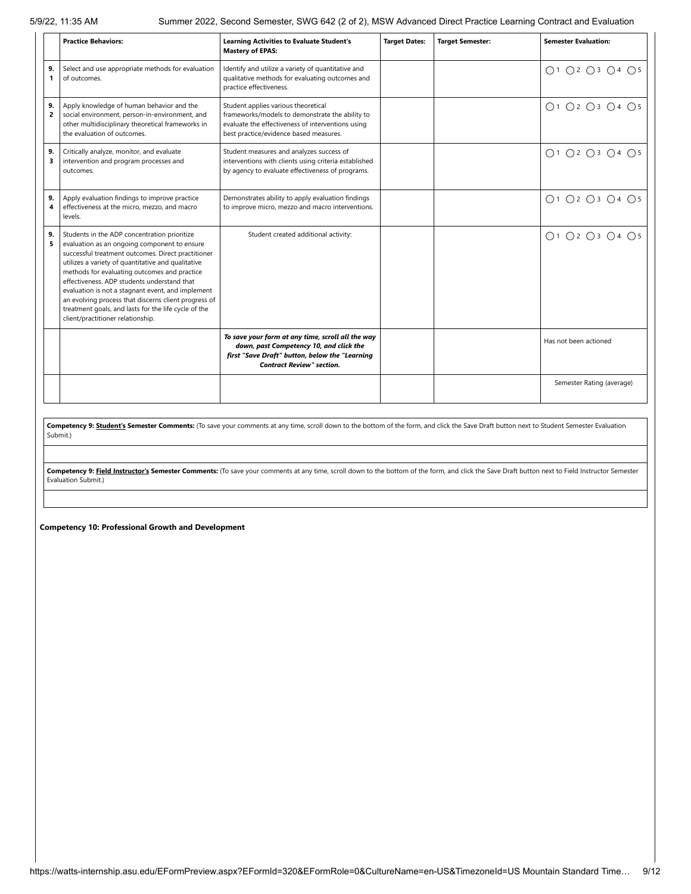|                      | <b>Practice Behaviors:</b>                                                                                                                                                                                                                                                                                                                                                                                                                                                                                        | <b>Learning Activities to Evaluate Student's</b><br><b>Mastery of EPAS:</b>                                                                                                           | <b>Target Dates:</b> | <b>Target Semester:</b> | <b>Semester Evaluation:</b>                                 |
|----------------------|-------------------------------------------------------------------------------------------------------------------------------------------------------------------------------------------------------------------------------------------------------------------------------------------------------------------------------------------------------------------------------------------------------------------------------------------------------------------------------------------------------------------|---------------------------------------------------------------------------------------------------------------------------------------------------------------------------------------|----------------------|-------------------------|-------------------------------------------------------------|
| 9.<br>$\mathbf{1}$   | Select and use appropriate methods for evaluation<br>of outcomes.                                                                                                                                                                                                                                                                                                                                                                                                                                                 | Identify and utilize a variety of quantitative and<br>qualitative methods for evaluating outcomes and<br>practice effectiveness.                                                      |                      |                         | ○1 ○2 ○3 ○4 ○5                                              |
| 9.<br>$\overline{2}$ | Apply knowledge of human behavior and the<br>social environment, person-in-environment, and<br>other multidisciplinary theoretical frameworks in<br>the evaluation of outcomes.                                                                                                                                                                                                                                                                                                                                   | Student applies various theoretical<br>frameworks/models to demonstrate the ability to<br>evaluate the effectiveness of interventions using<br>best practice/evidence based measures. |                      |                         | $\bigcap$ 1 $\bigcap$ 2 $\bigcap$ 3 $\bigcap$ 4 $\bigcap$ 5 |
| 9.<br>3              | Critically analyze, monitor, and evaluate<br>intervention and program processes and<br>outcomes.                                                                                                                                                                                                                                                                                                                                                                                                                  | Student measures and analyzes success of<br>interventions with clients using criteria established<br>by agency to evaluate effectiveness of programs.                                 |                      |                         | ○1 ○2 ○3 ○4 ○5                                              |
| 9.<br>4              | Apply evaluation findings to improve practice<br>effectiveness at the micro, mezzo, and macro<br>levels.                                                                                                                                                                                                                                                                                                                                                                                                          | Demonstrates ability to apply evaluation findings<br>to improve micro, mezzo and macro interventions.                                                                                 |                      |                         | ○1 ○2 ○3 ○4 ○5                                              |
| 9.<br>5              | Students in the ADP concentration prioritize<br>evaluation as an ongoing component to ensure<br>successful treatment outcomes. Direct practitioner<br>utilizes a variety of quantitative and qualitative<br>methods for evaluating outcomes and practice<br>effectiveness. ADP students understand that<br>evaluation is not a stagnant event, and implement<br>an evolving process that discerns client progress of<br>treatment goals, and lasts for the life cycle of the<br>client/practitioner relationship. | Student created additional activity:                                                                                                                                                  |                      |                         | $\bigcap$ 1 $\bigcap$ 2 $\bigcap$ 3 $\bigcap$ 4 $\bigcap$ 5 |
|                      |                                                                                                                                                                                                                                                                                                                                                                                                                                                                                                                   | To save your form at any time, scroll all the way<br>down, past Competency 10, and click the<br>first "Save Draft" button, below the "Learning<br><b>Contract Review" section.</b>    |                      |                         | Has not been actioned                                       |
|                      |                                                                                                                                                                                                                                                                                                                                                                                                                                                                                                                   |                                                                                                                                                                                       |                      |                         | Semester Rating (average)                                   |

Competency 9: **Student's Semester Comments:** (To save your comments at any time, scroll down to the bottom of the form, and click the Save Draft button next to Student Semester Evaluation Submit.)

Competency 9: Field Instructor's Semester Comments: (To save your comments at any time, scroll down to the bottom of the form, and click the Save Draft button next to Field Instructor Semester Evaluation Submit.)

**Competency 10: Professional Growth and Development**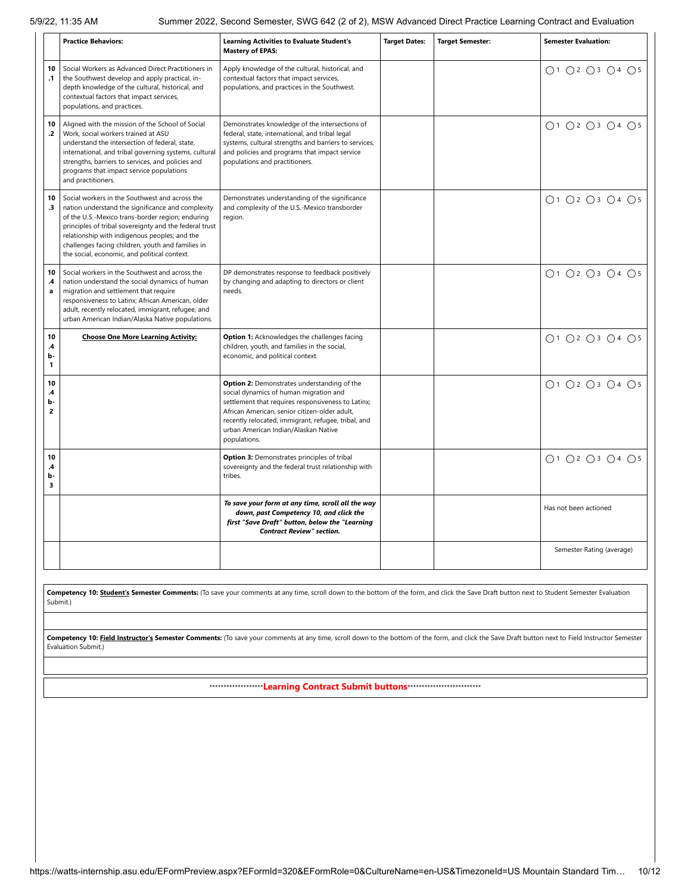|                                             | <b>Practice Behaviors:</b>                                                                                                                                                                                                                                                                                                                                              | <b>Learning Activities to Evaluate Student's</b><br><b>Mastery of EPAS:</b>                                                                                                                                                                                                                                 | <b>Target Dates:</b> | <b>Target Semester:</b> | <b>Semester Evaluation:</b> |
|---------------------------------------------|-------------------------------------------------------------------------------------------------------------------------------------------------------------------------------------------------------------------------------------------------------------------------------------------------------------------------------------------------------------------------|-------------------------------------------------------------------------------------------------------------------------------------------------------------------------------------------------------------------------------------------------------------------------------------------------------------|----------------------|-------------------------|-----------------------------|
| 10<br>$\cdot$ 1                             | Social Workers as Advanced Direct Practitioners in<br>the Southwest develop and apply practical, in-<br>depth knowledge of the cultural, historical, and<br>contextual factors that impact services,<br>populations, and practices.                                                                                                                                     | Apply knowledge of the cultural, historical, and<br>contextual factors that impact services,<br>populations, and practices in the Southwest.                                                                                                                                                                |                      |                         | ○1 ○2 ○3 ○4 ○5              |
| 10<br>$\cdot$                               | Aligned with the mission of the School of Social<br>Work, social workers trained at ASU<br>understand the intersection of federal, state,<br>international, and tribal governing systems, cultural<br>strengths, barriers to services, and policies and<br>programs that impact service populations<br>and practitioners.                                               | Demonstrates knowledge of the intersections of<br>federal, state, international, and tribal legal<br>systems, cultural strengths and barriers to services,<br>and policies and programs that impact service<br>populations and practitioners.                                                               |                      |                         | ○1 ○2 ○3 ○4 ○5              |
| 10<br>$\cdot$ <sub>3</sub>                  | Social workers in the Southwest and across the<br>nation understand the significance and complexity<br>of the U.S.-Mexico trans-border region; enduring<br>principles of tribal sovereignty and the federal trust<br>relationship with indigenous peoples; and the<br>challenges facing children, youth and families in<br>the social, economic, and political context. | Demonstrates understanding of the significance<br>and complexity of the U.S.-Mexico transborder<br>region.                                                                                                                                                                                                  |                      |                         | ○1 ○2 ○3 ○4 ○5              |
| 10<br>.4<br>a                               | Social workers in the Southwest and across the<br>nation understand the social dynamics of human<br>migration and settlement that require<br>responsiveness to Latinx; African American, older<br>adult, recently relocated, immigrant, refugee, and<br>urban American Indian/Alaska Native populations.                                                                | DP demonstrates response to feedback positively<br>by changing and adapting to directors or client<br>needs.                                                                                                                                                                                                |                      |                         | ○1 ○2 ○3 ○4 ○5              |
| 10<br>.4<br>b-<br>1                         | <b>Choose One More Learning Activity:</b>                                                                                                                                                                                                                                                                                                                               | Option 1: Acknowledges the challenges facing<br>children, youth, and families in the social,<br>economic, and political context.                                                                                                                                                                            |                      |                         | ○1 ○2 ○3 ○4 ○5              |
| 10<br>$\mathbf{.4}$<br>b-<br>$\overline{2}$ |                                                                                                                                                                                                                                                                                                                                                                         | Option 2: Demonstrates understanding of the<br>social dynamics of human migration and<br>settlement that requires responsiveness to Latinx;<br>African American, senior citizen-older adult,<br>recently relocated, immigrant, refugee, tribal, and<br>urban American Indian/Alaskan Native<br>populations. |                      |                         | ○1 ○2 ○3 ○4 ○5              |
| 10<br>.4<br>b-<br>3                         |                                                                                                                                                                                                                                                                                                                                                                         | Option 3: Demonstrates principles of tribal<br>sovereignty and the federal trust relationship with<br>tribes.                                                                                                                                                                                               |                      |                         | ○1 ○2 ○3 ○4 ○5              |
|                                             |                                                                                                                                                                                                                                                                                                                                                                         | To save your form at any time, scroll all the way<br>down, past Competency 10, and click the<br>first "Save Draft" button, below the "Learning<br><b>Contract Review" section.</b>                                                                                                                          |                      |                         | Has not been actioned       |
|                                             |                                                                                                                                                                                                                                                                                                                                                                         |                                                                                                                                                                                                                                                                                                             |                      |                         | Semester Rating (average)   |

Competency 10: Student's Semester Comments: (To save your comments at any time, scroll down to the bottom of the form, and click the Save Draft button next to Student Semester Evaluation Submit.)

Competency 10: Field Instructor's Semester Comments: (To save your comments at any time, scroll down to the bottom of the form, and click the Save Draft button next to Field Instructor Semester Evaluation Submit.)

\*\*\*\*\*\*\*\*\*\*\*\*\*\*\*\*\*\*\***Learning Contract Submit buttons**\*\*\*\*\*\*\*\*\*\*\*\*\*\*\*\*\*\*\*\*\*\*\*\*\*\*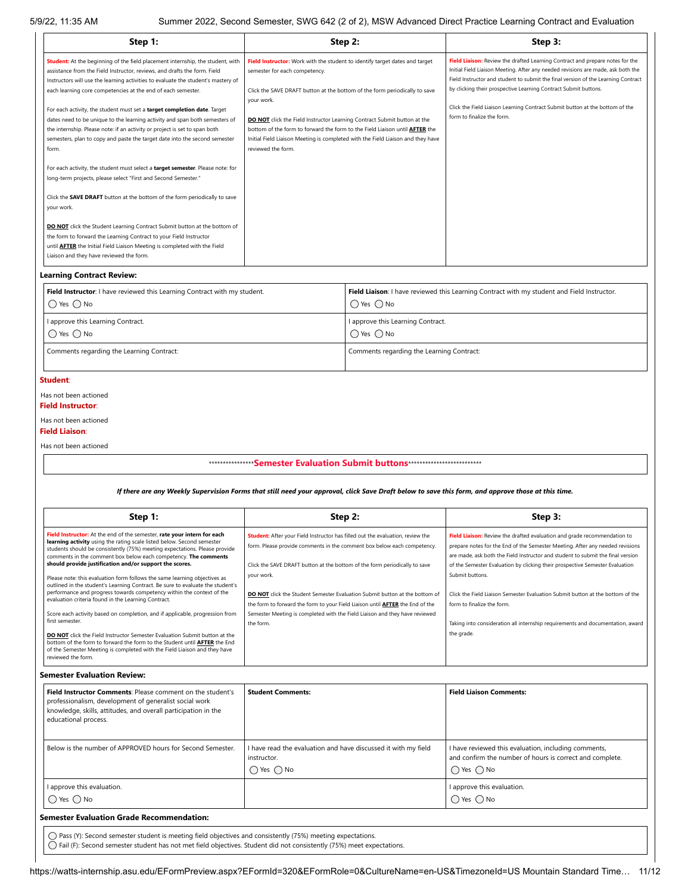| $22, 11.00$ $\sqrt{111}$                                                                                                                                                                                                                                                                                                                                                                                                                                                                                                                                                                                                                                                                                                                                                                                                                                                                                                                                                                                                                                                                                                                                                                                                                                        |                                                                                                                                                                                                                                                                                                                                                                                                                                                                                                                          |                                                                                                                                                                                                                                                                                                                                                                                                                | $\alpha$ of the cock, occord ochilistic, only one (2 or 2), mone Advanced Direct Fractice Ecarring Contract and Evaluation                                                                                                                                                                                                                                                                                                                                                                                                                                      |  |
|-----------------------------------------------------------------------------------------------------------------------------------------------------------------------------------------------------------------------------------------------------------------------------------------------------------------------------------------------------------------------------------------------------------------------------------------------------------------------------------------------------------------------------------------------------------------------------------------------------------------------------------------------------------------------------------------------------------------------------------------------------------------------------------------------------------------------------------------------------------------------------------------------------------------------------------------------------------------------------------------------------------------------------------------------------------------------------------------------------------------------------------------------------------------------------------------------------------------------------------------------------------------|--------------------------------------------------------------------------------------------------------------------------------------------------------------------------------------------------------------------------------------------------------------------------------------------------------------------------------------------------------------------------------------------------------------------------------------------------------------------------------------------------------------------------|----------------------------------------------------------------------------------------------------------------------------------------------------------------------------------------------------------------------------------------------------------------------------------------------------------------------------------------------------------------------------------------------------------------|-----------------------------------------------------------------------------------------------------------------------------------------------------------------------------------------------------------------------------------------------------------------------------------------------------------------------------------------------------------------------------------------------------------------------------------------------------------------------------------------------------------------------------------------------------------------|--|
| Step 1:                                                                                                                                                                                                                                                                                                                                                                                                                                                                                                                                                                                                                                                                                                                                                                                                                                                                                                                                                                                                                                                                                                                                                                                                                                                         | Step 2:                                                                                                                                                                                                                                                                                                                                                                                                                                                                                                                  |                                                                                                                                                                                                                                                                                                                                                                                                                | Step 3:                                                                                                                                                                                                                                                                                                                                                                                                                                                                                                                                                         |  |
| Student: At the beginning of the field placement internship, the student, with<br>assistance from the Field Instructor, reviews, and drafts the form. Field<br>semester for each competency.<br>Instructors will use the learning activities to evaluate the student's mastery of<br>each learning core competencies at the end of each semester.<br>your work.<br>For each activity, the student must set a target completion date. Target<br>dates need to be unique to the learning activity and span both semesters of<br>the internship. Please note: if an activity or project is set to span both<br>semesters, plan to copy and paste the target date into the second semester<br>form.<br>reviewed the form.<br>For each activity, the student must select a target semester. Please note: for<br>long-term projects, please select "First and Second Semester."<br>Click the SAVE DRAFT button at the bottom of the form periodically to save<br>your work.<br><b>DO NOT</b> click the Student Learning Contract Submit button at the bottom of<br>the form to forward the Learning Contract to your Field Instructor<br>until <b>AFTER</b> the Initial Field Liaison Meeting is completed with the Field<br>Liaison and they have reviewed the form. |                                                                                                                                                                                                                                                                                                                                                                                                                                                                                                                          | Field Instructor: Work with the student to identify target dates and target<br>Click the SAVE DRAFT button at the bottom of the form periodically to save<br>DO NOT click the Field Instructor Learning Contract Submit button at the<br>bottom of the form to forward the form to the Field Liaison until <b>AFTER</b> the<br>Initial Field Liaison Meeting is completed with the Field Liaison and they have | Field Liaison: Review the drafted Learning Contract and prepare notes for the<br>Initial Field Liaison Meeting. After any needed revisions are made, ask both the<br>Field Instructor and student to submit the final version of the Learning Contract<br>by clicking their prospective Learning Contract Submit buttons.<br>Click the Field Liaison Learning Contract Submit button at the bottom of the<br>form to finalize the form.                                                                                                                         |  |
| <b>Learning Contract Review:</b>                                                                                                                                                                                                                                                                                                                                                                                                                                                                                                                                                                                                                                                                                                                                                                                                                                                                                                                                                                                                                                                                                                                                                                                                                                |                                                                                                                                                                                                                                                                                                                                                                                                                                                                                                                          |                                                                                                                                                                                                                                                                                                                                                                                                                |                                                                                                                                                                                                                                                                                                                                                                                                                                                                                                                                                                 |  |
| Field Instructor: I have reviewed this Learning Contract with my student.<br>$\bigcap$ Yes $\bigcap$ No                                                                                                                                                                                                                                                                                                                                                                                                                                                                                                                                                                                                                                                                                                                                                                                                                                                                                                                                                                                                                                                                                                                                                         | $\bigcap$ Yes $\bigcap$ No                                                                                                                                                                                                                                                                                                                                                                                                                                                                                               |                                                                                                                                                                                                                                                                                                                                                                                                                | Field Liaison: I have reviewed this Learning Contract with my student and Field Instructor.                                                                                                                                                                                                                                                                                                                                                                                                                                                                     |  |
| I approve this Learning Contract.<br>$\bigcirc$ Yes $\bigcirc$ No                                                                                                                                                                                                                                                                                                                                                                                                                                                                                                                                                                                                                                                                                                                                                                                                                                                                                                                                                                                                                                                                                                                                                                                               | I approve this Learning Contract.<br>$\bigcirc$ Yes $\bigcirc$ No                                                                                                                                                                                                                                                                                                                                                                                                                                                        |                                                                                                                                                                                                                                                                                                                                                                                                                |                                                                                                                                                                                                                                                                                                                                                                                                                                                                                                                                                                 |  |
| Comments regarding the Learning Contract:                                                                                                                                                                                                                                                                                                                                                                                                                                                                                                                                                                                                                                                                                                                                                                                                                                                                                                                                                                                                                                                                                                                                                                                                                       | Comments regarding the Learning Contract:                                                                                                                                                                                                                                                                                                                                                                                                                                                                                |                                                                                                                                                                                                                                                                                                                                                                                                                |                                                                                                                                                                                                                                                                                                                                                                                                                                                                                                                                                                 |  |
| Has not been actioned                                                                                                                                                                                                                                                                                                                                                                                                                                                                                                                                                                                                                                                                                                                                                                                                                                                                                                                                                                                                                                                                                                                                                                                                                                           | *****************Semester Evaluation Submit buttons****************************                                                                                                                                                                                                                                                                                                                                                                                                                                          |                                                                                                                                                                                                                                                                                                                                                                                                                |                                                                                                                                                                                                                                                                                                                                                                                                                                                                                                                                                                 |  |
|                                                                                                                                                                                                                                                                                                                                                                                                                                                                                                                                                                                                                                                                                                                                                                                                                                                                                                                                                                                                                                                                                                                                                                                                                                                                 |                                                                                                                                                                                                                                                                                                                                                                                                                                                                                                                          |                                                                                                                                                                                                                                                                                                                                                                                                                | If there are any Weekly Supervision Forms that still need your approval, click Save Draft below to save this form, and approve those at this time.                                                                                                                                                                                                                                                                                                                                                                                                              |  |
| Step 1:                                                                                                                                                                                                                                                                                                                                                                                                                                                                                                                                                                                                                                                                                                                                                                                                                                                                                                                                                                                                                                                                                                                                                                                                                                                         |                                                                                                                                                                                                                                                                                                                                                                                                                                                                                                                          | Step 2:                                                                                                                                                                                                                                                                                                                                                                                                        | Step 3:                                                                                                                                                                                                                                                                                                                                                                                                                                                                                                                                                         |  |
| Field Instructor: At the end of the semester, rate your intern for each<br>learning activity using the rating scale listed below. Second semester<br>students should be consistently (75%) meeting expectations. Please provide<br>comments in the comment box below each competency. The comments<br>should provide justification and/or support the scores.<br>Please note: this evaluation form follows the same learning objectives as<br>outlined in the student's Learning Contract. Be sure to evaluate the student's<br>performance and progress towards competency within the context of the<br>evaluation criteria found in the Learning Contract.<br>Score each activity based on completion, and if applicable, progression from<br>first semester.<br>DO NOT click the Field Instructor Semester Evaluation Submit button at the<br>bottom of the form to forward the form to the Student until <b>AFTER</b> the End<br>of the Semester Meeting is completed with the Field Liaison and they have<br>reviewed the form.                                                                                                                                                                                                                            | Student: After your Field Instructor has filled out the evaluation, review the<br>form. Please provide comments in the comment box below each competency.<br>Click the SAVE DRAFT button at the bottom of the form periodically to save<br>your work.<br>DO NOT click the Student Semester Evaluation Submit button at the bottom of<br>the form to forward the form to your Field Liaison until <b>AFTER</b> the End of the<br>Semester Meeting is completed with the Field Liaison and they have reviewed<br>the form. |                                                                                                                                                                                                                                                                                                                                                                                                                | Field Liaison: Review the drafted evaluation and grade recommendation to<br>prepare notes for the End of the Semester Meeting. After any needed revisions<br>are made, ask both the Field Instructor and student to submit the final version<br>of the Semester Evaluation by clicking their prospective Semester Evaluation<br>Submit buttons.<br>Click the Field Liaison Semester Evaluation Submit button at the bottom of the<br>form to finalize the form.<br>Taking into consideration all internship requirements and documentation, award<br>the grade. |  |
| Semester Evaluation Review:                                                                                                                                                                                                                                                                                                                                                                                                                                                                                                                                                                                                                                                                                                                                                                                                                                                                                                                                                                                                                                                                                                                                                                                                                                     |                                                                                                                                                                                                                                                                                                                                                                                                                                                                                                                          |                                                                                                                                                                                                                                                                                                                                                                                                                |                                                                                                                                                                                                                                                                                                                                                                                                                                                                                                                                                                 |  |
| Field Instructor Comments: Please comment on the student's<br>professionalism, development of generalist social work<br>knowledge, skills, attitudes, and overall participation in the<br>educational process.                                                                                                                                                                                                                                                                                                                                                                                                                                                                                                                                                                                                                                                                                                                                                                                                                                                                                                                                                                                                                                                  | <b>Student Comments:</b>                                                                                                                                                                                                                                                                                                                                                                                                                                                                                                 |                                                                                                                                                                                                                                                                                                                                                                                                                | <b>Field Liaison Comments:</b>                                                                                                                                                                                                                                                                                                                                                                                                                                                                                                                                  |  |
| Below is the number of APPROVED hours for Second Semester.                                                                                                                                                                                                                                                                                                                                                                                                                                                                                                                                                                                                                                                                                                                                                                                                                                                                                                                                                                                                                                                                                                                                                                                                      | I have read the evaluation and have discussed it with my field<br>instructor.<br>$\bigcirc$ Yes $\bigcirc$ No                                                                                                                                                                                                                                                                                                                                                                                                            |                                                                                                                                                                                                                                                                                                                                                                                                                | I have reviewed this evaluation, including comments,<br>and confirm the number of hours is correct and complete.<br>$\bigcirc$ Yes $\bigcirc$ No                                                                                                                                                                                                                                                                                                                                                                                                                |  |
| I approve this evaluation.<br>$\bigcirc$ Yes $\bigcirc$ No                                                                                                                                                                                                                                                                                                                                                                                                                                                                                                                                                                                                                                                                                                                                                                                                                                                                                                                                                                                                                                                                                                                                                                                                      |                                                                                                                                                                                                                                                                                                                                                                                                                                                                                                                          |                                                                                                                                                                                                                                                                                                                                                                                                                | I approve this evaluation.<br>$\bigcirc$ Yes $\bigcirc$ No                                                                                                                                                                                                                                                                                                                                                                                                                                                                                                      |  |

#### **Semester Evaluation Grade Recommendation:**

⚪ Pass (Y): Second semester student is meeting field objectives and consistently (75%) meeting expectations. ⚪ Fail (F): Second semester student has not met field objectives. Student did not consistently (75%) meet expectations.

https://watts-internship.asu.edu/EFormPreview.aspx?EFormId=320&EFormRole=0&CultureName=en-US&TimezoneId=US Mountain Standard Time… 11/12